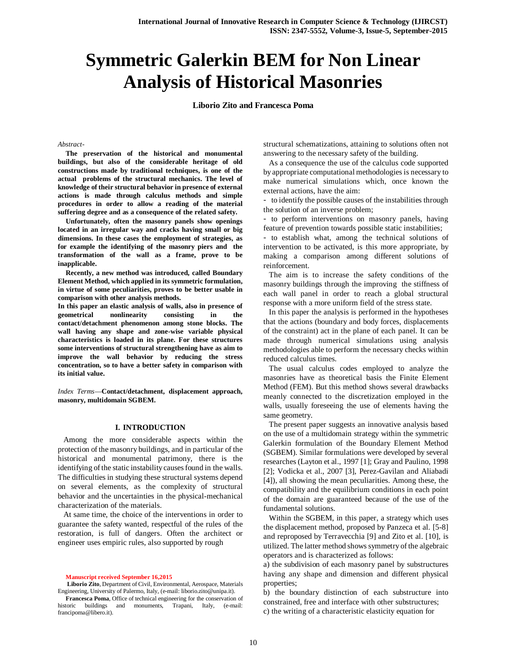# **Symmetric Galerkin BEM for Non Linear Analysis of Historical Masonries**

**Liborio Zito and Francesca Poma**

#### *Abstract-*

**The preservation of the historical and monumental buildings, but also of the considerable heritage of old constructions made by traditional techniques, is one of the actual problems of the structural mechanics. The level of knowledge of their structural behavior in presence of external actions is made through calculus methods and simple procedures in order to allow a reading of the material suffering degree and as a consequence of the related safety.**

**Unfortunately, often the masonry panels show openings located in an irregular way and cracks having small or big dimensions. In these cases the employment of strategies, as for example the identifying of the masonry piers and the transformation of the wall as a frame, prove to be inapplicable.**

**Recently, a new method was introduced, called Boundary Element Method, which applied in its symmetric formulation, in virtue of some peculiarities, proves to be better usable in comparison with other analysis methods.**

**In this paper an elastic analysis of walls, also in presence of geometrical nonlinearity consisting in the contact/detachment phenomenon among stone blocks. The wall having any shape and zone-wise variable physical characteristics is loaded in its plane. For these structures some interventions of structural strengthening have as aim to improve the wall behavior by reducing the stress concentration, so to have a better safety in comparison with its initial value.**

*Index Terms*—**Contact/detachment, displacement approach, masonry, multidomain SGBEM.**

#### **I. INTRODUCTION**

Among the more considerable aspects within the protection of the masonry buildings, and in particular of the historical and monumental patrimony, there is the identifying of the static instability causes found in the walls. The difficulties in studying these structural systems depend on several elements, as the complexity of structural behavior and the uncertainties in the physical-mechanical characterization of the materials.

At same time, the choice of the interventions in order to guarantee the safety wanted, respectful of the rules of the restoration, is full of dangers. Often the architect or engineer uses empiric rules, also supported by rough

**Liborio Zito**, Department of Civil, Environmental, Aerospace, Materials Engineering, University of Palermo, Italy, (e-mail: liborio.zito@unipa.it).

structural schematizations, attaining to solutions often not answering to the necessary safety of the building.

As a consequence the use of the calculus code supported by appropriate computational methodologies is necessary to make numerical simulations which, once known the external actions, have the aim:

- to identify the possible causes of the instabilities through the solution of an inverse problem;

- to perform interventions on masonry panels, having feature of prevention towards possible static instabilities;

- to establish what, among the technical solutions of intervention to be activated, is this more appropriate, by making a comparison among different solutions of reinforcement.

The aim is to increase the safety conditions of the masonry buildings through the improving the stiffness of each wall panel in order to reach a global structural response with a more uniform field of the stress state.

In this paper the analysis is performed in the hypotheses that the actions (boundary and body forces, displacements of the constraint) act in the plane of each panel. It can be made through numerical simulations using analysis methodologies able to perform the necessary checks within reduced calculus times.

The usual calculus codes employed to analyze the masonries have as theoretical basis the Finite Element Method (FEM). But this method shows several drawbacks meanly connected to the discretization employed in the walls, usually foreseeing the use of elements having the same geometry.

The present paper suggests an innovative analysis based on the use of a multidomain strategy within the symmetric Galerkin formulation of the Boundary Element Method (SGBEM). Similar formulations were developed by several researches (Layton et al., 1997 [1]; Gray and Paulino, 1998 [2]; Vodicka et al., 2007 [3], Perez-Gavilan and Aliabadi [4]), all showing the mean peculiarities. Among these, the compatibility and the equilibrium conditions in each point of the domain are guaranteed because of the use of the fundamental solutions.

Within the SGBEM, in this paper, a strategy which uses the displacement method, proposed by Panzeca et al. [5-8] and reproposed by Terravecchia [9] and Zito et al. [10], is utilized. The latter method shows symmetry of the algebraic operators and is characterized as follows:

a) the subdivision of each masonry panel by substructures having any shape and dimension and different physical properties;

b) the boundary distinction of each substructure into constrained, free and interface with other substructures; c) the writing of a characteristic elasticity equation for

**Manuscript received September 16,2015**

**Francesca Poma**, Office of technical engineering for the conservation of historic buildings and monuments, Trapani, Italy, (e-mail: francipoma@libero.it).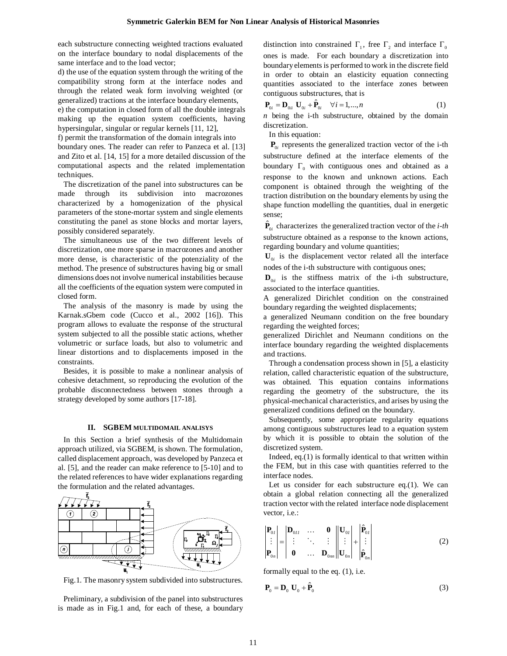each substructure connecting weighted tractions evaluated on the interface boundary to nodal displacements of the same interface and to the load vector;

d) the use of the equation system through the writing of the compatibility strong form at the interface nodes and through the related weak form involving weighted (or generalized) tractions at the interface boundary elements,

e) the computation in closed form of all the double integrals making up the equation system coefficients, having hypersingular, singular or regular kernels [11, 12],

f) permit the transformation of the domain integrals into boundary ones. The reader can refer to Panzeca et al. [13] and Zito et al. [14, 15] for a more detailed discussion of the computational aspects and the related implementation techniques.

The discretization of the panel into substructures can be made through its subdivision into macrozones characterized by a homogenization of the physical parameters of the stone-mortar system and single elements constituting the panel as stone blocks and mortar layers, possibly considered separately.

The simultaneous use of the two different levels of discretization, one more sparse in macrozones and another more dense, is characteristic of the potenziality of the method. The presence of substructures having big or small dimensions does not involve numerical instabilities because all the coefficients of the equation system were computed in closed form.

The analysis of the masonry is made by using the Karnak.sGbem code (Cucco et al., 2002 [16]). This program allows to evaluate the response of the structural system subjected to all the possible static actions, whether volumetric or surface loads, but also to volumetric and linear distortions and to displacements imposed in the constraints.

Besides, it is possible to make a nonlinear analysis of cohesive detachment, so reproducing the evolution of the probable disconnectedness between stones through a strategy developed by some authors [17-18].

## **II. SGBEM MULTIDOMAIL ANALISYS**

In this Section a brief synthesis of the Multidomain approach utilized, via SGBEM, is shown. The formulation, called displacement approach, was developed by Panzeca et al. [5], and the reader can make reference to [5-10] and to the related references to have wider explanations regarding the formulation and the related advantages.



Fig.1. The masonry system subdivided into substructures.

Preliminary, a subdivision of the panel into substructures is made as in Fig.1 and, for each of these, a boundary

distinction into constrained  $\Gamma_1$ , free  $\Gamma_2$  and interface  $\Gamma_0$ ones is made. For each boundary a discretization into boundary elements is performed to work in the discrete field in order to obtain an elasticity equation connecting quantities associated to the interface zones between contiguous substructures, that is

$$
\mathbf{P}_{0i} = \mathbf{D}_{0ii} \mathbf{U}_{0i} + \hat{\mathbf{P}}_{0i} \quad \forall i = 1,...,n
$$
 (1)

*n* being the i-th substructure, obtained by the domain discretization.

In this equation:

 $P_{0i}$  represents the generalized traction vector of the i-th substructure defined at the interface elements of the boundary  $\Gamma_0$  with contiguous ones and obtained as a response to the known and unknown actions. Each component is obtained through the weighting of the traction distribution on the boundary elements by using the shape function modelling the quantities, dual in energetic sense;

 $\hat{\mathbf{P}}_{0i}$  characterizes the generalized traction vector of the *i-th* substructure obtained as a response to the known actions, regarding boundary and volume quantities;

 $\mathbf{U}_{0i}$  is the displacement vector related all the interface nodes of the i-th substructure with contiguous ones;

 $\mathbf{D}_{0ii}$  is the stiffness matrix of the i-th substructure, associated to the interface quantities.

A generalized Dirichlet condition on the constrained boundary regarding the weighted displacements;

a generalized Neumann condition on the free boundary regarding the weighted forces;

generalized Dirichlet and Neumann conditions on the interface boundary regarding the weighted displacements and tractions.

Through a condensation process shown in [5], a elasticity relation, called characteristic equation of the substructure, was obtained. This equation contains informations regarding the geometry of the substructure, the its physical-mechanical characteristics, and arises by using the generalized conditions defined on the boundary.

Subsequently, some appropriate regularity equations among contiguous substructures lead to a equation system by which it is possible to obtain the solution of the discretized system.

Indeed, eq.(1) is formally identical to that written within the FEM, but in this case with quantities referred to the interface nodes.

Let us consider for each substructure eq.(1). We can obtain a global relation connecting all the generalized traction vector with the related interface node displacement vector, i.e.:

$$
\begin{vmatrix} \mathbf{P}_{0I} \\ \vdots \\ \mathbf{P}_{0n} \end{vmatrix} = \begin{vmatrix} \mathbf{D}_{0II} & \dots & \mathbf{0} \\ \vdots & \ddots & \vdots \\ \mathbf{0} & \dots & \mathbf{D}_{0m} \end{vmatrix} \begin{vmatrix} \mathbf{U}_{0I} \\ \vdots \\ \mathbf{U}_{0n} \end{vmatrix} + \begin{vmatrix} \mathbf{\hat{P}}_{0I} \\ \vdots \\ \mathbf{\hat{P}}_{0n} \end{vmatrix}
$$
 (2)

formally equal to the eq. (1), i.e.

$$
\mathbf{P}_0 = \mathbf{D}_0 \mathbf{U}_0 + \hat{\mathbf{P}}_0 \tag{3}
$$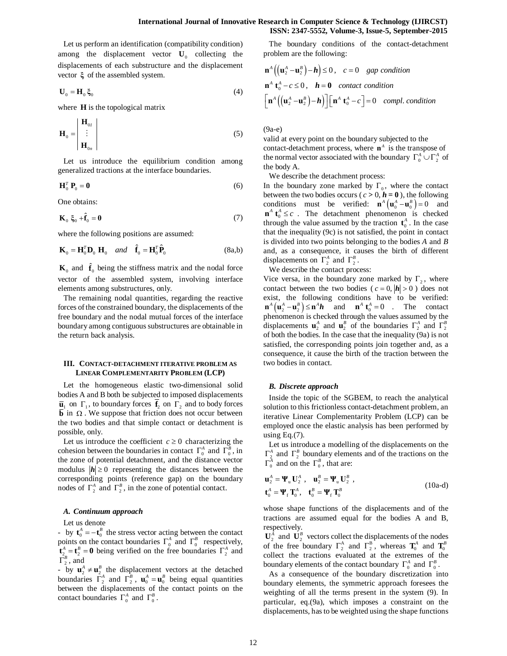Let us perform an identification (compatibility condition) among the displacement vector  $U_0$  collecting the displacements of each substructure and the displacement vector **ξ** of the assembled system.

$$
\mathbf{U}_0 = \mathbf{H}_0 \, \boldsymbol{\xi}_0 \tag{4}
$$

where **H** is the topological matrix

$$
\mathbf{H}_0 = \begin{vmatrix} \mathbf{H}_{0I} \\ \vdots \\ \mathbf{H}_{0n} \end{vmatrix}
$$
 (5)

Let us introduce the equilibrium condition among generalized tractions at the interface boundaries.

$$
\mathbf{H}_0^T \, \mathbf{P}_0 = \mathbf{0} \tag{6}
$$

One obtains:

$$
\mathbf{K}_0 \; \boldsymbol{\xi}_0 + \hat{\mathbf{f}}_0 = \mathbf{0} \tag{7}
$$

where the following positions are assumed:

$$
\mathbf{K}_0 = \mathbf{H}_0^T \mathbf{D}_0 \ \mathbf{H}_0 \quad and \quad \hat{\mathbf{f}}_0 = \mathbf{H}_0^T \hat{\mathbf{P}}_0 \tag{8a,b}
$$

 $\mathbf{K}_0$  and  $\hat{\mathbf{f}}_0$  being the stiffness matrix and the nodal force vector of the assembled system, involving interface elements among substructures, only.

The remaining nodal quantities, regarding the reactive forces of the constrained boundary, the displacements of the free boundary and the nodal mutual forces of the interface boundary among contiguous substructures are obtainable in the return back analysis.

# **III. CONTACT-DETACHMENT ITERATIVE PROBLEM AS LINEAR COMPLEMENTARITY PROBLEM (LCP)**

Let the homogeneous elastic two-dimensional solid bodies A and B both be subjected to imposed displacements  $\overline{\mathbf{u}}_1$  on  $\Gamma_1$ , to boundary forces  $\mathbf{f}_2$  on  $\Gamma_2$  and to body forces  $\overline{b}$  in  $\Omega$ . We suppose that friction does not occur between the two bodies and that simple contact or detachment is possible, only.

Let us introduce the coefficient  $c \geq 0$  characterizing the cohesion between the boundaries in contact  $\Gamma_0^A$  and  $\Gamma_0^B$ , in the zone of potential detachment, and the distance vector modulus  $|\mathbf{h}| \geq 0$  representing the distances between the corresponding points (reference gap) on the boundary nodes of  $\Gamma_2^A$  and  $\Gamma_2^B$ , in the zone of potential contact.

#### *A. Continuum approach*

Let us denote

- by  $\mathbf{t}_0^A = -\mathbf{t}_0^B$  the stress vector acting between the contact points on the contact boundaries  $\Gamma_0^A$  and  $\Gamma_0^B$  respectively,  $\mathbf{t}_{2}^{\mathcal{A}} = \mathbf{t}_{2}^{\mathcal{B}} = \mathbf{0}$  being verified on the free boundaries  $\Gamma_2^{\mathcal{A}}$  and  $\overline{\Gamma}_2^B$ , and

- by  $\mathbf{u}_2^A \neq \mathbf{u}_2^B$  the displacement vectors at the detached boundaries  $\Gamma_2^A$  and  $\Gamma_2^B$ ,  $\mathbf{u}_0^A = \mathbf{u}_0^B$  being equal quantities between the displacements of the contact points on the contact boundaries  $\Gamma_0^A$  and  $\Gamma_0^B$ .

The boundary conditions of the contact-detachment problem are the following:

$$
\mathbf{n}^A \left( \left( \mathbf{u}_2^A - \mathbf{u}_2^B \right) - \mathbf{h} \right) \le 0, \quad c = 0 \quad \text{gap condition}
$$
\n
$$
\mathbf{n}^A \mathbf{t}_0^A - c \le 0, \quad \mathbf{h} = \mathbf{0} \quad \text{contact condition}
$$
\n
$$
\left[ \mathbf{n}^A \left( \left( \mathbf{u}_2^A - \mathbf{u}_2^B \right) - \mathbf{h} \right) \right] \left[ \mathbf{n}^A \mathbf{t}_0^A - c \right] = 0 \quad \text{compl. condition}
$$

(9a-e)

valid at every point on the boundary subjected to the contact-detachment process, where  $\mathbf{n}^A$  is the transpose of the normal vector associated with the boundary  $\Gamma_0^A \cup \Gamma_2^A$  of the body A.

We describe the detachment process:

In the boundary zone marked by  $\Gamma_0$ , where the contact between the two bodies occurs ( $c > 0$ ,  $h = 0$ ), the following conditions must be verified:  $\mathbf{n}^A (\mathbf{u}_0^A - \mathbf{u}_0^B) = 0$  and  $\mathbf{n}^A \mathbf{t}_0^A \leq c$ . The detachment phenomenon is checked through the value assumed by the traction  $\mathbf{t}_0^A$ . In the case that the inequality (9c) is not satisfied, the point in contact is divided into two points belonging to the bodies *A* and *B* and, as a consequence, it causes the birth of different displacements on  $\Gamma_2^A$  and  $\Gamma_2^B$ .

We describe the contact process:

Vice versa, in the boundary zone marked by  $\Gamma_2$ , where contact between the two bodies ( $c = 0, |\mathbf{h}| > 0$ ) does not exist, the following conditions have to be verified:  $\mathbf{n}^A \left( \mathbf{u}_2^A - \mathbf{u}_2^B \right) \le \mathbf{n}^A \mathbf{h}$  and  $\mathbf{n}^A \mathbf{t}_0^A = 0$  . The contact phenomenon is checked through the values assumed by the displacements  $\mathbf{u}_2^A$  and  $\mathbf{u}_2^B$  of the boundaries  $\Gamma_2^A$  and  $\Gamma_2^B$ of both the bodies. In the case that the inequality (9a) is not satisfied, the corresponding points join together and, as a consequence, it cause the birth of the traction between the two bodies in contact.

## *B. Discrete approach*

Inside the topic of the SGBEM, to reach the analytical solution to this frictionless contact-detachment problem, an iterative Linear Complementarity Problem (LCP) can be employed once the elastic analysis has been performed by using Eq. $(7)$ .

Let us introduce a modelling of the displacements on the  $\Gamma_2^A$  and  $\Gamma_2^B$  boundary elements and of the tractions on the  $\Gamma_0^A$  and on the  $\Gamma_0^B$ , that are:

$$
\mathbf{u}_2^A = \mathbf{\Psi}_{\mathbf{u}} \mathbf{U}_2^A , \quad \mathbf{u}_2^B = \mathbf{\Psi}_{\mathbf{u}} \mathbf{U}_2^B ,
$$
  
\n
$$
\mathbf{t}_0^A = \mathbf{\Psi}_{\mathbf{f}} \mathbf{T}_0^A , \quad \mathbf{t}_0^B = \mathbf{\Psi}_{\mathbf{f}} \mathbf{T}_0^B
$$
\n(10a-d)

whose shape functions of the displacements and of the tractions are assumed equal for the bodies A and B, respectively.

 $\mathbf{U}_2^A$  and  $\mathbf{U}_2^B$  vectors collect the displacements of the nodes of the free boundary  $\Gamma_2^{\text{A}}$  and  $\Gamma_2^{\text{B}}$ , whereas  $\mathbf{T}_0^{\text{A}}$  and  $\mathbf{T}_0^{\text{B}}$ collect the tractions evaluated at the extremes of the boundary elements of the contact boundary  $\Gamma_0^A$  and  $\Gamma_0^B$ .

As a consequence of the boundary discretization into boundary elements, the symmetric approach foresees the weighting of all the terms present in the system (9). In particular, eq.(9a), which imposes a constraint on the displacements, has to be weighted using the shape functions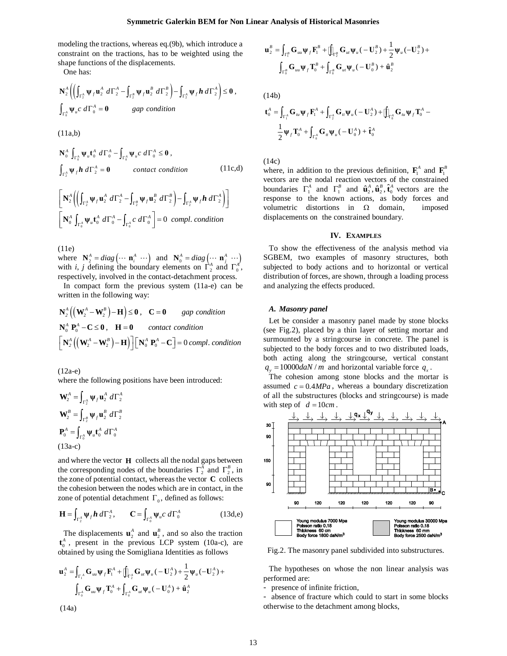modeling the tractions, whereas eq.(9b), which introduce a constraint on the tractions, has to be weighted using the shape functions of the displacements.

One has:

$$
\mathbf{N}_2^A \left( \left( \int_{\Gamma_2^A} \Psi_f \mathbf{u}_2^A \ d\Gamma_2^A - \int_{\Gamma_2^B} \Psi_f \mathbf{u}_2^B \ d\Gamma_2^B \right) - \int_{\Gamma_2^A} \Psi_f \mathbf{h} \ d\Gamma_2^A \right) \leq \mathbf{0} \ ,
$$
  

$$
\int_{\Gamma_0^A} \Psi_u c \ d\Gamma_0^A = \mathbf{0} \qquad \text{gap condition}
$$

(11a,b)

$$
\mathbf{N}_{0}^{A} \int_{\Gamma_{0}^{A}} \Psi_{u} \mathbf{t}_{0}^{A} d\Gamma_{0}^{A} - \int_{\Gamma_{0}^{A}} \Psi_{u} c \, d\Gamma_{0}^{A} \leq \mathbf{0},
$$
\n
$$
\int_{\Gamma_{2}^{A}} \Psi_{f} \mathbf{h} d\Gamma_{2}^{A} = \mathbf{0} \qquad \text{contact condition} \tag{11c,d}
$$

$$
\begin{bmatrix}\n\mathbf{N}_2^A \left( \left( \int_{\Gamma_2^A} \mathbf{\Psi}_f \mathbf{u}_2^A \ d\Gamma_2^A - \int_{\Gamma_2^B} \mathbf{\Psi}_f \mathbf{u}_2^B \ d\Gamma_2^B \right) - \int_{\Gamma_2^A} \mathbf{\Psi}_f \mathbf{h} \ d\Gamma_2^A \right)\n\end{bmatrix}
$$
\n
$$
\begin{bmatrix}\n\mathbf{N}_0^A \int_{\Gamma_0^A} \mathbf{\Psi}_u \mathbf{t}_0^A \ d\Gamma_0^A - \int_{\Gamma_0^A} c \ d\Gamma_0^A\n\end{bmatrix} = 0 \ \text{compl. condition}
$$

(11e)

where  $N_2^A = diag \left( \cdots \mathbf{n}_i^A \cdots \right)$  and  $N_0^A = diag \left( \cdots \mathbf{n}_j^A \cdots \right)$ with *i*, *j* defining the boundary elements on  $\Gamma_2^A$  and  $\Gamma_0^A$ , respectively, involved in the contact-detachment process.

In compact form the previous system (11a-e) can be written in the following way:

$$
\mathbf{N}_2^A \left( \left( \mathbf{W}_2^A - \mathbf{W}_2^B \right) - \mathbf{H} \right) \leq \mathbf{0}, \quad \mathbf{C} = \mathbf{0} \qquad \text{gap condition}
$$
\n
$$
\mathbf{N}_0^A \mathbf{P}_0^A - \mathbf{C} \leq \mathbf{0}, \quad \mathbf{H} = \mathbf{0} \qquad \text{contact condition}
$$
\n
$$
\left[ \mathbf{N}_2^A \left( \left( \mathbf{W}_2^A - \mathbf{W}_2^B \right) - \mathbf{H} \right) \right] \left[ \mathbf{N}_0^A \mathbf{P}_0^A - \mathbf{C} \right] = 0 \text{ compl. condition}
$$

(12a-e)

where the following positions have been introduced:

$$
\mathbf{W}_2^A = \int_{\Gamma_2^A} \Psi_f \mathbf{u}_2^A \ d\Gamma_2^A
$$

$$
\mathbf{W}_2^B = \int_{\Gamma_2^B} \Psi_f \mathbf{u}_2^B \ d\Gamma_2^B
$$

$$
\mathbf{P}_0^A = \int_{\Gamma_0^A} \Psi_u \mathbf{t}_0^A \ d\Gamma_0^A
$$

$$
(13a-c)
$$

and where the vector **H** collects all the nodal gaps between the corresponding nodes of the boundaries  $\Gamma_2^A$  and  $\Gamma_2^B$ , in the zone of potential contact, whereas the vector **C** collects the cohesion between the nodes which are in contact, in the zone of potential detachment  $\Gamma_0$ , defined as follows:

$$
\mathbf{H} = \int_{\Gamma_2^A} \Psi_f \mathbf{h} \, d\Gamma_2^A, \qquad \mathbf{C} = \int_{\Gamma_0^A} \Psi_u c \, d\Gamma_0^A \tag{13d,e}
$$

The displacements  $\mathbf{u}_2^A$  and  $\mathbf{u}_2^B$ , and so also the traction  $\mathbf{t}_0^A$ , present in the previous LCP system (10a-c), are obtained by using the Somigliana Identities as follows

$$
\mathbf{u}_{2}^{A} = \int_{\Gamma_{1}^{A}} \mathbf{G}_{uu} \Psi_{f} \mathbf{F}_{1}^{A} + \iint_{\Gamma_{2}^{A}} \mathbf{G}_{u} \Psi_{u} (-\mathbf{U}_{2}^{A}) + \frac{1}{2} \Psi_{u} (-\mathbf{U}_{2}^{A}) + \n\int_{\Gamma_{0}^{A}} \mathbf{G}_{uu} \Psi_{f} \mathbf{T}_{0}^{A} + \int_{\Gamma_{0}^{A}} \mathbf{G}_{u} \Psi_{u} (-\mathbf{U}_{0}^{A}) + \hat{\mathbf{u}}_{2}^{A}
$$

$$
(14a)
$$

$$
\mathbf{u}_2^B = \int_{\Gamma_1^B} \mathbf{G}_{uu} \boldsymbol{\psi}_f \mathbf{F}_1^B + \left[ \int_{\Gamma_2^B} \mathbf{G}_{uu} \boldsymbol{\psi}_u \left( -\mathbf{U}_2^B \right) + \frac{1}{2} \boldsymbol{\psi}_u \left( -\mathbf{U}_2^B \right) + \right] \n\int_{\Gamma_0^B} \mathbf{G}_{uu} \boldsymbol{\psi}_f \mathbf{T}_0^B + \int_{\Gamma_0^B} \mathbf{G}_{uu} \boldsymbol{\psi}_u \left( -\mathbf{U}_0^B \right) + \hat{\mathbf{u}}_2^B
$$

(14b)

$$
\mathbf{t}_{0}^{A} = \int_{\Gamma_{1}^{A}} \mathbf{G}_{u} \psi_{f} \mathbf{F}_{1}^{A} + \int_{\Gamma_{2}^{A}} \mathbf{G}_{u} \psi_{u} (-\mathbf{U}_{2}^{A}) + \iint_{\Gamma_{0}^{A}} \mathbf{G}_{u} \psi_{f} \mathbf{T}_{0}^{A} - \frac{1}{2} \psi_{f} \mathbf{T}_{0}^{A} + \int_{\Gamma_{0}^{A}} \mathbf{G}_{u} \psi_{u} (-\mathbf{U}_{0}^{A}) + \hat{\mathbf{t}}_{0}^{A}
$$

(14c)

where, in addition to the previous definition,  $\mathbf{F}_1^A$  and  $\mathbf{F}_1^B$ vectors are the nodal reaction vectors of the constrained boundaries  $\Gamma_1^A$  and  $\Gamma_1^B$  and  $\hat{\mathbf{u}}_2^A$ ,  $\hat{\mathbf{u}}_2^B$ ,  $\hat{\mathbf{t}}_0^A$  vectors are the response to the known actions, as body forces and volumetric distortions in  $\Omega$  domain, imposed displacements on the constrained boundary.

#### **IV. EXAMPLES**

To show the effectiveness of the analysis method via SGBEM, two examples of masonry structures, both subjected to body actions and to horizontal or vertical distribution of forces, are shown, through a loading process and analyzing the effects produced.

## *A. Masonry panel*

Let be consider a masonry panel made by stone blocks (see Fig.2), placed by a thin layer of setting mortar and surmounted by a stringcourse in concrete. The panel is subjected to the body forces and to two distributed loads, both acting along the stringcourse, vertical constant  $q_y = 10000$ *daN / m* and horizontal variable force  $q_x$ .

The cohesion among stone blocks and the mortar is assumed  $c = 0.4 MPa$ , whereas a boundary discretization of all the substructures (blocks and stringcourse) is made with step of  $d = 10 cm$ .



Fig.2. The masonry panel subdivided into substructures.

The hypotheses on whose the non linear analysis was performed are:

- presence of infinite friction,

- absence of fracture which could to start in some blocks otherwise to the detachment among blocks,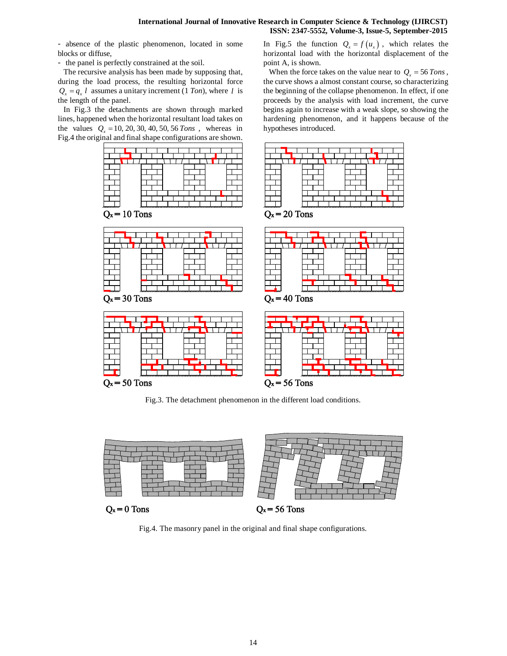- absence of the plastic phenomenon, located in some blocks or diffuse,

- the panel is perfectly constrained at the soil.

The recursive analysis has been made by supposing that, during the load process, the resulting horizontal force  $Q_x = q_x l$  assumes a unitary increment (1 *Ton*), where *l* is the length of the panel.

In Fig.3 the detachments are shown through marked lines, happened when the horizontal resultant load takes on the values  $Q_x = 10, 20, 30, 40, 50, 56$  Tons, whereas in Fig.4 the original and final shape configurations are shown.

In Fig.5 the function  $Q_x = f(u_x)$ , which relates the horizontal load with the horizontal displacement of the point A, is shown.

When the force takes on the value near to  $Q_x = 56$  Tons, the curve shows a almost constant course, so characterizing the beginning of the collapse phenomenon. In effect, if one proceeds by the analysis with load increment, the curve begins again to increase with a weak slope, so showing the hardening phenomenon, and it happens because of the hypotheses introduced.



Fig.3. The detachment phenomenon in the different load conditions.



Fig.4. The masonry panel in the original and final shape configurations.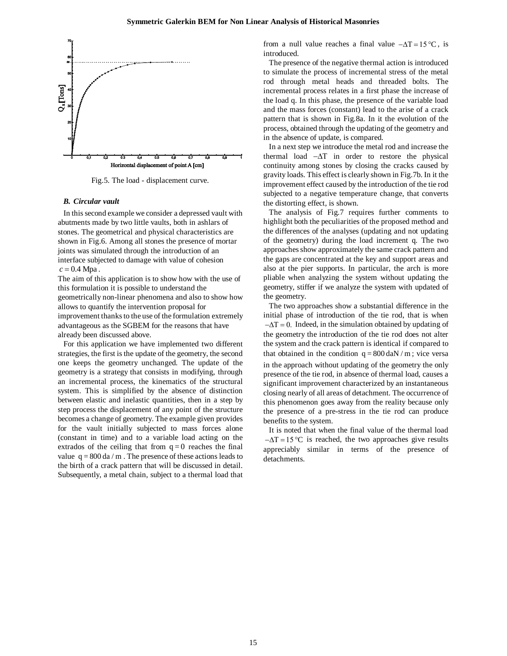

Fig.5. The load - displacement curve.

# *B. Circular vault*

In this second example we consider a depressed vault with abutments made by two little vaults, both in ashlars of stones. The geometrical and physical characteristics are shown in Fig.6. Among all stones the presence of mortar joints was simulated through the introduction of an interface subjected to damage with value of cohesion  $c = 0.4$  Mpa.

The aim of this application is to show how with the use of this formulation it is possible to understand the geometrically non-linear phenomena and also to show how allows to quantify the intervention proposal for improvement thanks to the use of the formulation extremely advantageous as the SGBEM for the reasons that have already been discussed above.

For this application we have implemented two different strategies, the first is the update of the geometry, the second one keeps the geometry unchanged. The update of the geometry is a strategy that consists in modifying, through an incremental process, the kinematics of the structural system. This is simplified by the absence of distinction between elastic and inelastic quantities, then in a step by step process the displacement of any point of the structure becomes a change of geometry. The example given provides for the vault initially subjected to mass forces alone (constant in time) and to a variable load acting on the extrados of the ceiling that from  $q = 0$  reaches the final value  $q = 800$  da / m. The presence of these actions leads to the birth of a crack pattern that will be discussed in detail. Subsequently, a metal chain, subject to a thermal load that from a null value reaches a final value  $-\Delta T = 15^{\circ}C$ , is introduced.

The presence of the negative thermal action is introduced to simulate the process of incremental stress of the metal rod through metal heads and threaded bolts. The incremental process relates in a first phase the increase of the load q. In this phase, the presence of the variable load and the mass forces (constant) lead to the arise of a crack pattern that is shown in Fig.8a. In it the evolution of the process, obtained through the updating of the geometry and in the absence of update, is compared.

In a next step we introduce the metal rod and increase the thermal load  $-\Delta T$  in order to restore the physical continuity among stones by closing the cracks caused by gravity loads. This effect is clearly shown in Fig.7b. In it the improvement effect caused by the introduction of the tie rod subjected to a negative temperature change, that converts the distorting effect, is shown.

The analysis of Fig.7 requires further comments to highlight both the peculiarities of the proposed method and the differences of the analyses (updating and not updating of the geometry) during the load increment q. The two approaches show approximately the same crack pattern and the gaps are concentrated at the key and support areas and also at the pier supports. In particular, the arch is more pliable when analyzing the system without updating the geometry, stiffer if we analyze the system with updated of the geometry.

The two approaches show a substantial difference in the initial phase of introduction of the tie rod, that is when  $-\Delta T = 0$ . Indeed, in the simulation obtained by updating of the geometry the introduction of the tie rod does not alter the system and the crack pattern is identical if compared to that obtained in the condition  $q = 800$  daN / m; vice versa in the approach without updating of the geometry the only presence of the tie rod, in absence of thermal load, causes a significant improvement characterized by an instantaneous closing nearly of all areas of detachment. The occurrence of this phenomenon goes away from the reality because only the presence of a pre-stress in the tie rod can produce benefits to the system.

It is noted that when the final value of the thermal load  $-\Delta T = 15^{\circ}\text{C}$  is reached, the two approaches give results appreciably similar in terms of the presence of detachments.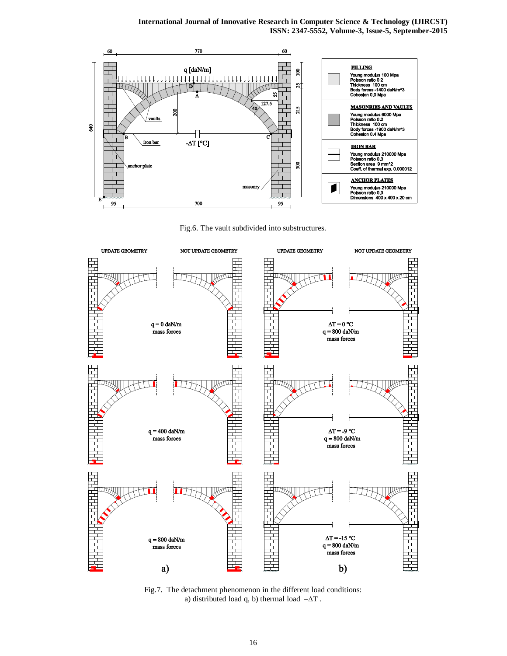**International Journal of Innovative Research in Computer Science & Technology (IJIRCST) ISSN: 2347-5552, Volume-3, Issue-5, September-2015**



Fig.6. The vault subdivided into substructures.



Fig.7. The detachment phenomenon in the different load conditions: a) distributed load q, b) thermal load  $-\Delta T$ .